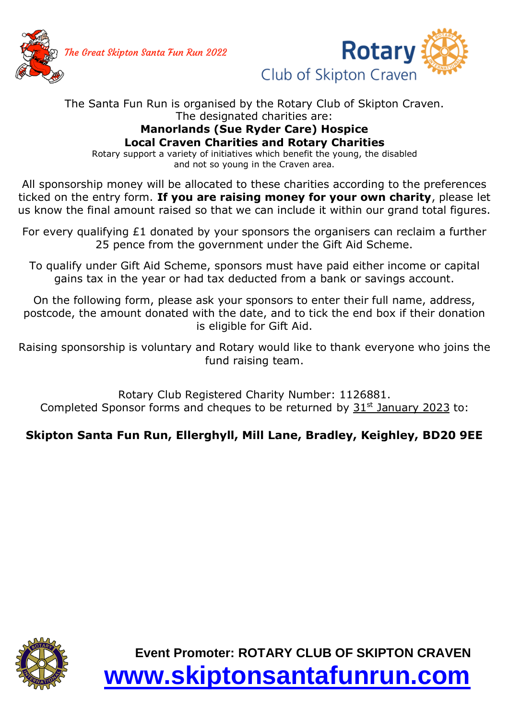The Great Skipton Santa Fun Run 2022





## The Santa Fun Run is organised by the Rotary Club of Skipton Craven. The designated charities are:

## **Manorlands (Sue Ryder Care) Hospice Local Craven Charities and Rotary Charities**

Rotary support a variety of initiatives which benefit the young, the disabled and not so young in the Craven area.

All sponsorship money will be allocated to these charities according to the preferences ticked on the entry form. **If you are raising money for your own charity**, please let us know the final amount raised so that we can include it within our grand total figures.

For every qualifying £1 donated by your sponsors the organisers can reclaim a further 25 pence from the government under the Gift Aid Scheme.

To qualify under Gift Aid Scheme, sponsors must have paid either income or capital gains tax in the year or had tax deducted from a bank or savings account.

On the following form, please ask your sponsors to enter their full name, address, postcode, the amount donated with the date, and to tick the end box if their donation is eligible for Gift Aid.

Raising sponsorship is voluntary and Rotary would like to thank everyone who joins the fund raising team.

Rotary Club Registered Charity Number: 1126881. Completed Sponsor forms and cheques to be returned by  $31<sup>st</sup>$  January 2023 to:

## **Skipton Santa Fun Run, Ellerghyll, Mill Lane, Bradley, Keighley, BD20 9EE**



**Event Promoter: ROTARY CLUB OF SKIPTON CRAVEN [www.skiptonsantafunrun.com](http://www.skiptonsantafunrun.com/)**